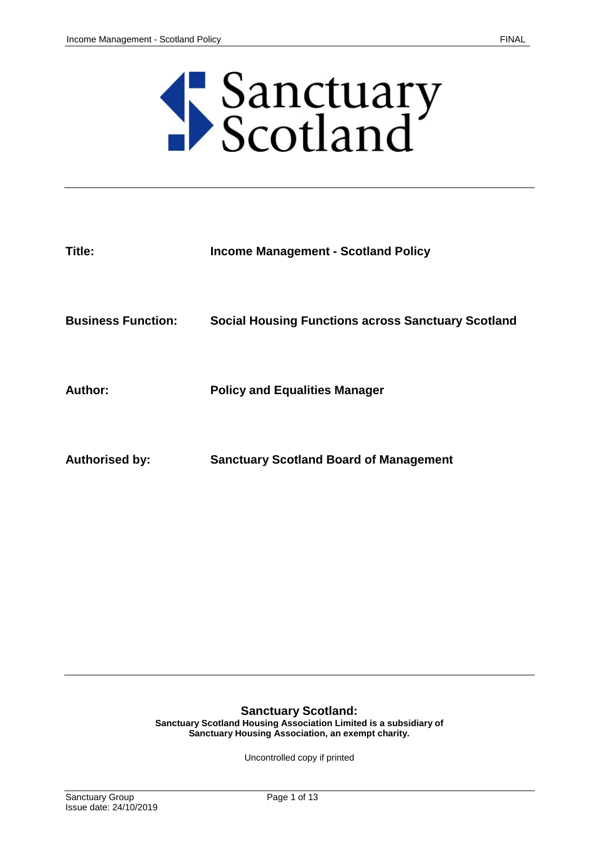

| Title:                    | <b>Income Management - Scotland Policy</b>                |
|---------------------------|-----------------------------------------------------------|
| <b>Business Function:</b> | <b>Social Housing Functions across Sanctuary Scotland</b> |
| <b>Author:</b>            | <b>Policy and Equalities Manager</b>                      |
| <b>Authorised by:</b>     | <b>Sanctuary Scotland Board of Management</b>             |

#### **Sanctuary Scotland:**

**Sanctuary Scotland Housing Association Limited is a subsidiary of Sanctuary Housing Association, an exempt charity.**

Uncontrolled copy if printed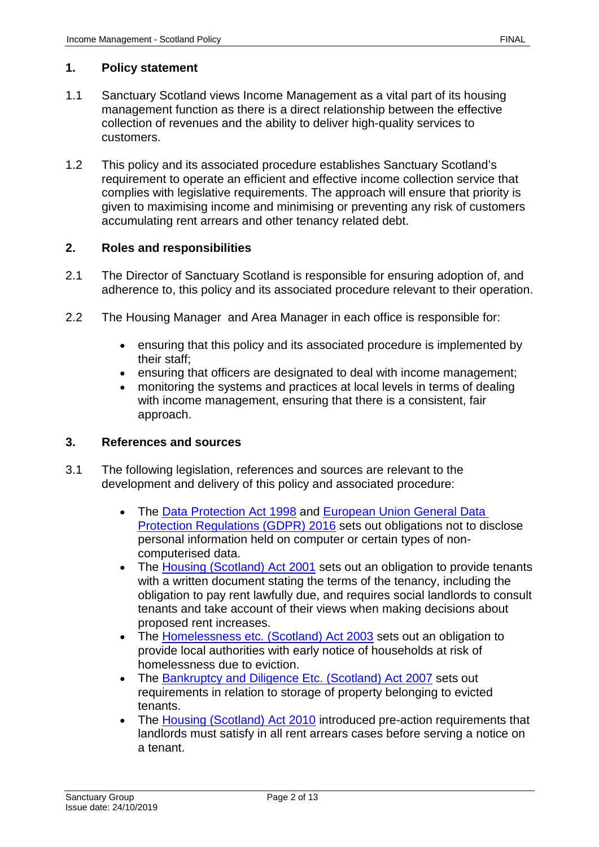#### **1. Policy statement**

- 1.1 Sanctuary Scotland views Income Management as a vital part of its housing management function as there is a direct relationship between the effective collection of revenues and the ability to deliver high-quality services to customers.
- 1.2 This policy and its associated procedure establishes Sanctuary Scotland's requirement to operate an efficient and effective income collection service that complies with legislative requirements. The approach will ensure that priority is given to maximising income and minimising or preventing any risk of customers accumulating rent arrears and other tenancy related debt.

#### **2. Roles and responsibilities**

- 2.1 The Director of Sanctuary Scotland is responsible for ensuring adoption of, and adherence to, this policy and its associated procedure relevant to their operation.
- 2.2 The Housing Manager and Area Manager in each office is responsible for:
	- ensuring that this policy and its associated procedure is implemented by their staff;
	- ensuring that officers are designated to deal with income management;
	- monitoring the systems and practices at local levels in terms of dealing with income management, ensuring that there is a consistent, fair approach.

#### **3. References and sources**

- 3.1 The following legislation, references and sources are relevant to the development and delivery of this policy and associated procedure:
	- The [Data Protection Act 1998](https://www.legislation.gov.uk/ukpga/1998/29/contents) and European Union General Data [Protection Regulations \(GDPR\) 2016](https://ec.europa.eu/info/law/law-topic/data-protection_en) sets out obligations not to disclose personal information held on computer or certain types of noncomputerised data.
	- The [Housing \(Scotland\) Act 2001](https://www.legislation.gov.uk/asp/2001/10/contents) sets out an obligation to provide tenants with a written document stating the terms of the tenancy, including the obligation to pay rent lawfully due, and requires social landlords to consult tenants and take account of their views when making decisions about proposed rent increases.
	- The [Homelessness etc. \(Scotland\) Act 2003](https://www.legislation.gov.uk/asp/2003/10/contents) sets out an obligation to provide local authorities with early notice of households at risk of homelessness due to eviction.
	- The [Bankruptcy and Diligence Etc. \(Scotland\) Act 2007](https://www.legislation.gov.uk/asp/2007/3/contents) sets out requirements in relation to storage of property belonging to evicted tenants.
	- The [Housing \(Scotland\) Act 2010](http://www.legislation.gov.uk/asp/2010/17/contents/enacted) introduced pre-action requirements that landlords must satisfy in all rent arrears cases before serving a notice on a tenant.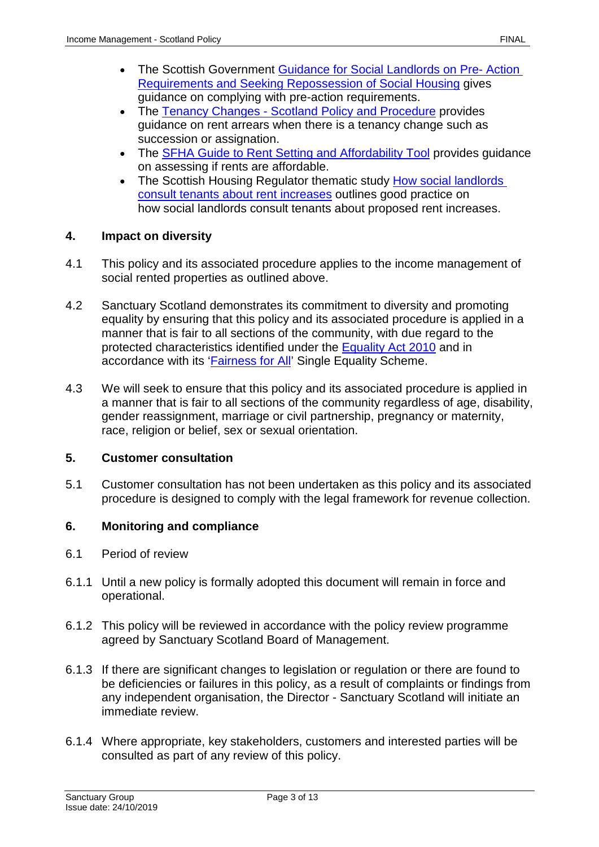- The Scottish Government [Guidance for Social Landlords on Pre-](https://www.gov.scot/publications/housing-scotland-act-2001-2010-guidance-social-landlords-pre-action/pages/3/) Action [Requirements and Seeking Repossession of Social Housing](https://www.gov.scot/publications/housing-scotland-act-2001-2010-guidance-social-landlords-pre-action/pages/3/) gives guidance on complying with pre-action requirements.
- The Tenancy Changes [Scotland Policy and Procedure](https://solis/PolicyManagement/policy/Policies/Forms/Policy%20Document%20Set/docsethomepage.aspx?ID=5026&FolderCTID=0x0120D52000DE99EA054D4DF944BE591D81E49729D0008C670BDB86BED740B0B89E295CD8357C&List=a03723e1-d48b-4958-9669-9b86a90ef8b0&RootFolder=%2FPolicyManagement%2Fpolicy%2FPolicies%2FTenancy%20Changes%20%2D%20Scotland&RecSrc=%2FPolicyManagement%2Fpolicy%2FPolicies%2FTenancy%20Changes%20%2D%20Scotland) provides guidance on rent arrears when there is a tenancy change such as succession or assignation.
- The [SFHA Guide to Rent Setting and Affordability Tool](https://www.sfha.co.uk/our-work/policy-category/affordability-and-value-for-money/sub-category/affordability) provides guidance on assessing if rents are affordable.
- The Scottish Housing Regulator thematic study How social landlords [consult tenants about rent increases](https://www.scottishhousingregulator.gov.uk/landlord-performance/national-reports/thematic-work/how-social-landlords-consult-tenants-about-rent-increases) outlines good practice on how social landlords consult tenants about proposed rent increases.

# **4. Impact on diversity**

- 4.1 This policy and its associated procedure applies to the income management of social rented properties as outlined above.
- 4.2 Sanctuary Scotland demonstrates its commitment to diversity and promoting equality by ensuring that this policy and its associated procedure is applied in a manner that is fair to all sections of the community, with due regard to the protected characteristics identified under the [Equality Act 2010](https://www.legislation.gov.uk/ukpga/2010/15/contents) and in accordance with its ['Fairness for All'](https://solis/Diversity/Pages/Fairnessforall.aspx) Single Equality Scheme.
- 4.3 We will seek to ensure that this policy and its associated procedure is applied in a manner that is fair to all sections of the community regardless of age, disability, gender reassignment, marriage or civil partnership, pregnancy or maternity, race, religion or belief, sex or sexual orientation.

### **5. Customer consultation**

5.1 Customer consultation has not been undertaken as this policy and its associated procedure is designed to comply with the legal framework for revenue collection.

# **6. Monitoring and compliance**

- 6.1 Period of review
- 6.1.1 Until a new policy is formally adopted this document will remain in force and operational.
- 6.1.2 This policy will be reviewed in accordance with the policy review programme agreed by Sanctuary Scotland Board of Management.
- 6.1.3 If there are significant changes to legislation or regulation or there are found to be deficiencies or failures in this policy, as a result of complaints or findings from any independent organisation, the Director - Sanctuary Scotland will initiate an immediate review.
- 6.1.4 Where appropriate, key stakeholders, customers and interested parties will be consulted as part of any review of this policy.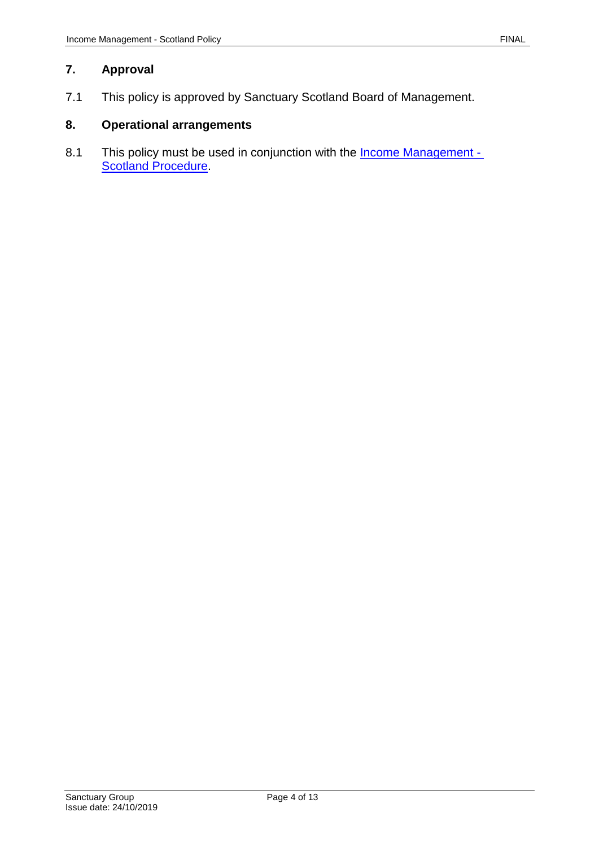### **7. Approval**

7.1 This policy is approved by Sanctuary Scotland Board of Management.

# **8. Operational arrangements**

8.1 This policy must be used in conjunction with the **Income Management -Scotland Procedure**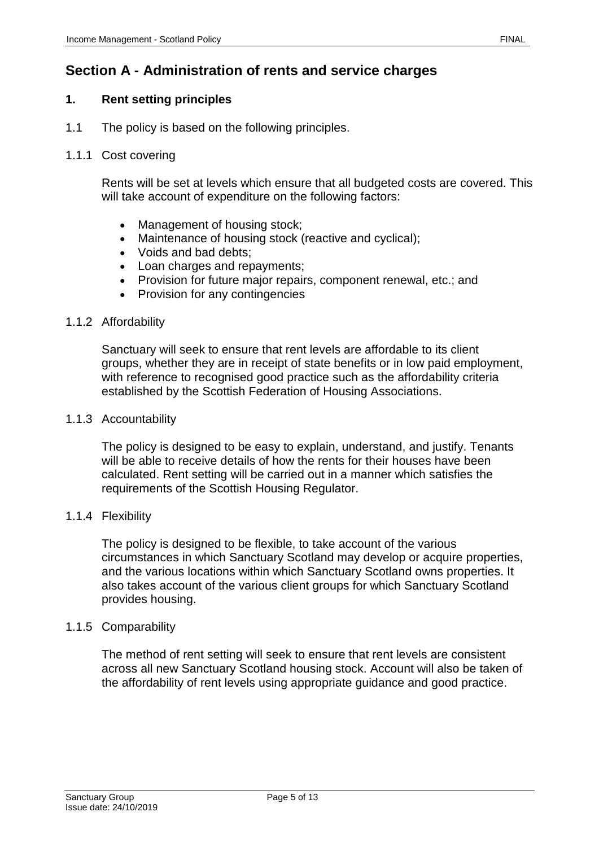# **Section A - Administration of rents and service charges**

## **1. Rent setting principles**

1.1 The policy is based on the following principles.

### 1.1.1 Cost covering

Rents will be set at levels which ensure that all budgeted costs are covered. This will take account of expenditure on the following factors:

- Management of housing stock;
- Maintenance of housing stock (reactive and cyclical);
- Voids and bad debts;
- Loan charges and repayments;
- Provision for future major repairs, component renewal, etc.; and
- Provision for any contingencies

#### 1.1.2 Affordability

Sanctuary will seek to ensure that rent levels are affordable to its client groups, whether they are in receipt of state benefits or in low paid employment, with reference to recognised good practice such as the affordability criteria established by the Scottish Federation of Housing Associations.

#### 1.1.3 Accountability

The policy is designed to be easy to explain, understand, and justify. Tenants will be able to receive details of how the rents for their houses have been calculated. Rent setting will be carried out in a manner which satisfies the requirements of the Scottish Housing Regulator.

#### 1.1.4 Flexibility

The policy is designed to be flexible, to take account of the various circumstances in which Sanctuary Scotland may develop or acquire properties, and the various locations within which Sanctuary Scotland owns properties. It also takes account of the various client groups for which Sanctuary Scotland provides housing.

#### 1.1.5 Comparability

The method of rent setting will seek to ensure that rent levels are consistent across all new Sanctuary Scotland housing stock. Account will also be taken of the affordability of rent levels using appropriate guidance and good practice.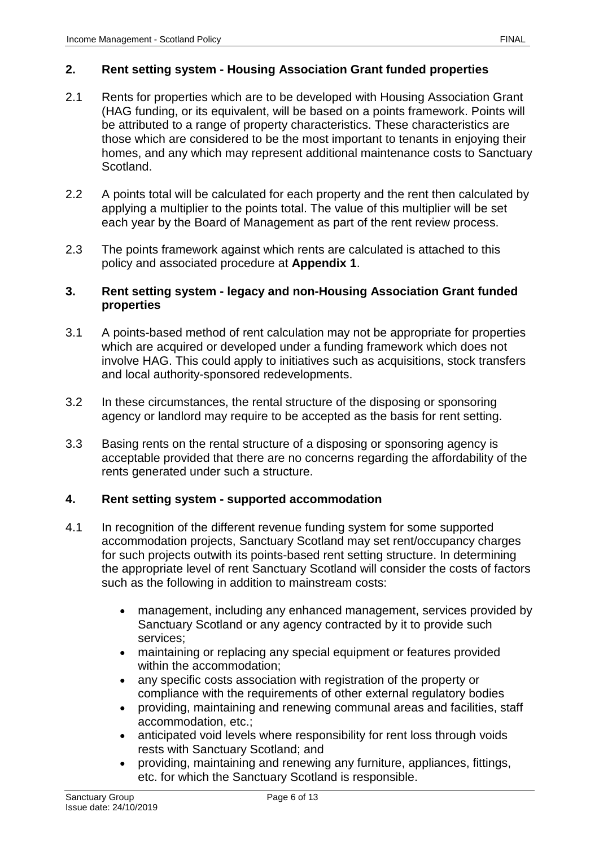#### **2. Rent setting system - Housing Association Grant funded properties**

- 2.1 Rents for properties which are to be developed with Housing Association Grant (HAG funding, or its equivalent, will be based on a points framework. Points will be attributed to a range of property characteristics. These characteristics are those which are considered to be the most important to tenants in enjoying their homes, and any which may represent additional maintenance costs to Sanctuary Scotland.
- 2.2 A points total will be calculated for each property and the rent then calculated by applying a multiplier to the points total. The value of this multiplier will be set each year by the Board of Management as part of the rent review process.
- 2.3 The points framework against which rents are calculated is attached to this policy and associated procedure at **Appendix 1**.

#### **3. Rent setting system - legacy and non-Housing Association Grant funded properties**

- 3.1 A points-based method of rent calculation may not be appropriate for properties which are acquired or developed under a funding framework which does not involve HAG. This could apply to initiatives such as acquisitions, stock transfers and local authority-sponsored redevelopments.
- 3.2 In these circumstances, the rental structure of the disposing or sponsoring agency or landlord may require to be accepted as the basis for rent setting.
- 3.3 Basing rents on the rental structure of a disposing or sponsoring agency is acceptable provided that there are no concerns regarding the affordability of the rents generated under such a structure.

#### **4. Rent setting system - supported accommodation**

- 4.1 In recognition of the different revenue funding system for some supported accommodation projects, Sanctuary Scotland may set rent/occupancy charges for such projects outwith its points-based rent setting structure. In determining the appropriate level of rent Sanctuary Scotland will consider the costs of factors such as the following in addition to mainstream costs:
	- management, including any enhanced management, services provided by Sanctuary Scotland or any agency contracted by it to provide such services;
	- maintaining or replacing any special equipment or features provided within the accommodation;
	- any specific costs association with registration of the property or compliance with the requirements of other external regulatory bodies
	- providing, maintaining and renewing communal areas and facilities, staff accommodation, etc.;
	- anticipated void levels where responsibility for rent loss through voids rests with Sanctuary Scotland; and
	- providing, maintaining and renewing any furniture, appliances, fittings, etc. for which the Sanctuary Scotland is responsible.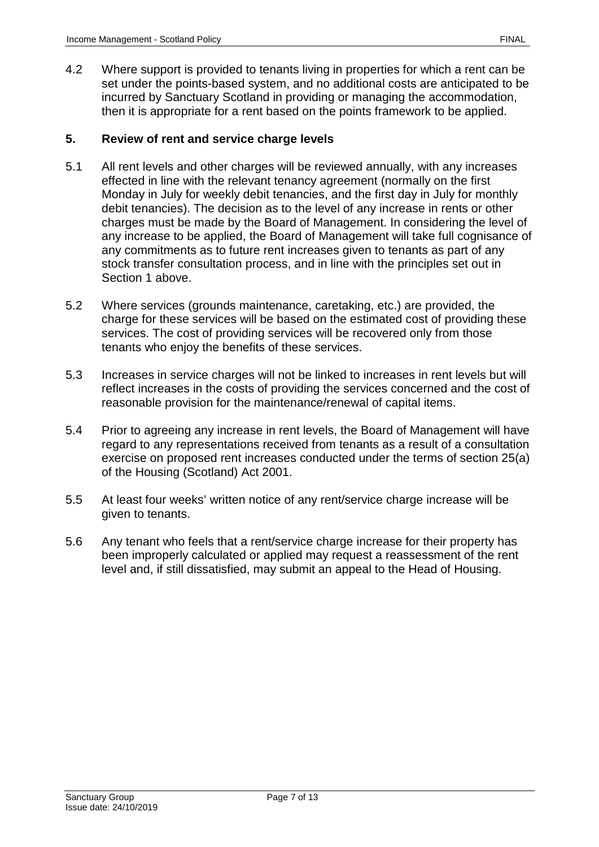4.2 Where support is provided to tenants living in properties for which a rent can be set under the points-based system, and no additional costs are anticipated to be incurred by Sanctuary Scotland in providing or managing the accommodation, then it is appropriate for a rent based on the points framework to be applied.

### **5. Review of rent and service charge levels**

- 5.1 All rent levels and other charges will be reviewed annually, with any increases effected in line with the relevant tenancy agreement (normally on the first Monday in July for weekly debit tenancies, and the first day in July for monthly debit tenancies). The decision as to the level of any increase in rents or other charges must be made by the Board of Management. In considering the level of any increase to be applied, the Board of Management will take full cognisance of any commitments as to future rent increases given to tenants as part of any stock transfer consultation process, and in line with the principles set out in Section 1 above.
- 5.2 Where services (grounds maintenance, caretaking, etc.) are provided, the charge for these services will be based on the estimated cost of providing these services. The cost of providing services will be recovered only from those tenants who enjoy the benefits of these services.
- 5.3 Increases in service charges will not be linked to increases in rent levels but will reflect increases in the costs of providing the services concerned and the cost of reasonable provision for the maintenance/renewal of capital items.
- 5.4 Prior to agreeing any increase in rent levels, the Board of Management will have regard to any representations received from tenants as a result of a consultation exercise on proposed rent increases conducted under the terms of section 25(a) of the Housing (Scotland) Act 2001.
- 5.5 At least four weeks' written notice of any rent/service charge increase will be given to tenants.
- 5.6 Any tenant who feels that a rent/service charge increase for their property has been improperly calculated or applied may request a reassessment of the rent level and, if still dissatisfied, may submit an appeal to the Head of Housing.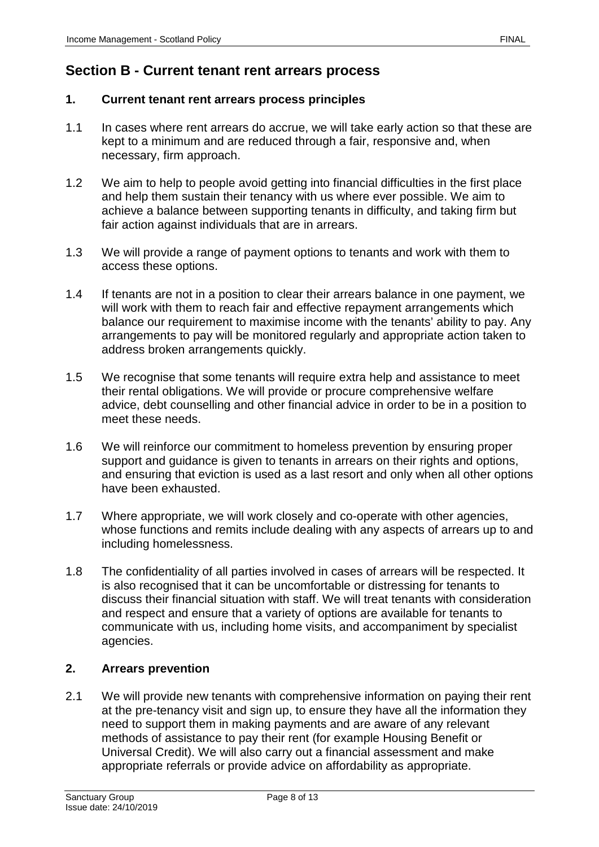# **Section B - Current tenant rent arrears process**

#### **1. Current tenant rent arrears process principles**

- 1.1 In cases where rent arrears do accrue, we will take early action so that these are kept to a minimum and are reduced through a fair, responsive and, when necessary, firm approach.
- 1.2 We aim to help to people avoid getting into financial difficulties in the first place and help them sustain their tenancy with us where ever possible. We aim to achieve a balance between supporting tenants in difficulty, and taking firm but fair action against individuals that are in arrears.
- 1.3 We will provide a range of payment options to tenants and work with them to access these options.
- 1.4 If tenants are not in a position to clear their arrears balance in one payment, we will work with them to reach fair and effective repayment arrangements which balance our requirement to maximise income with the tenants' ability to pay. Any arrangements to pay will be monitored regularly and appropriate action taken to address broken arrangements quickly.
- 1.5 We recognise that some tenants will require extra help and assistance to meet their rental obligations. We will provide or procure comprehensive welfare advice, debt counselling and other financial advice in order to be in a position to meet these needs.
- 1.6 We will reinforce our commitment to homeless prevention by ensuring proper support and guidance is given to tenants in arrears on their rights and options, and ensuring that eviction is used as a last resort and only when all other options have been exhausted.
- 1.7 Where appropriate, we will work closely and co-operate with other agencies, whose functions and remits include dealing with any aspects of arrears up to and including homelessness.
- 1.8 The confidentiality of all parties involved in cases of arrears will be respected. It is also recognised that it can be uncomfortable or distressing for tenants to discuss their financial situation with staff. We will treat tenants with consideration and respect and ensure that a variety of options are available for tenants to communicate with us, including home visits, and accompaniment by specialist agencies.

### **2. Arrears prevention**

2.1 We will provide new tenants with comprehensive information on paying their rent at the pre-tenancy visit and sign up, to ensure they have all the information they need to support them in making payments and are aware of any relevant methods of assistance to pay their rent (for example Housing Benefit or Universal Credit). We will also carry out a financial assessment and make appropriate referrals or provide advice on affordability as appropriate.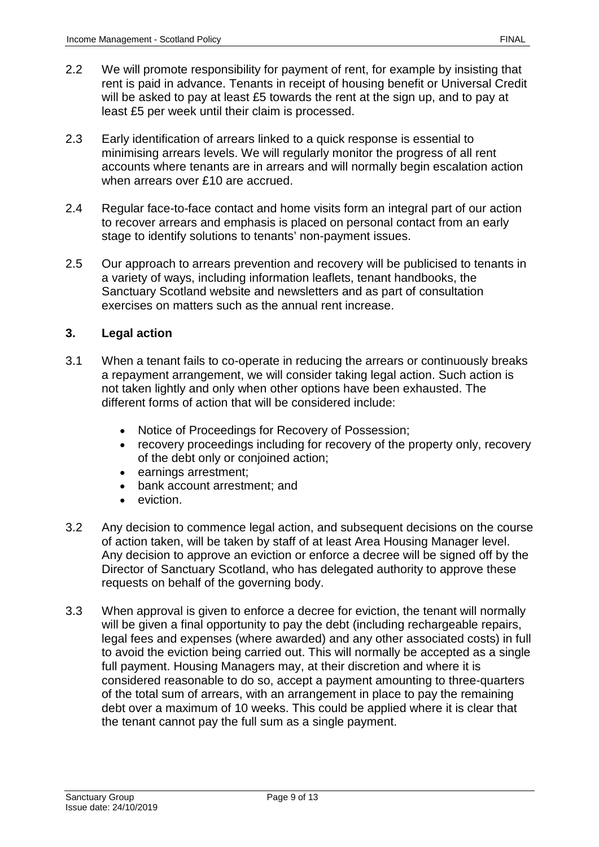- 2.2 We will promote responsibility for payment of rent, for example by insisting that rent is paid in advance. Tenants in receipt of housing benefit or Universal Credit will be asked to pay at least £5 towards the rent at the sign up, and to pay at least £5 per week until their claim is processed.
- 2.3 Early identification of arrears linked to a quick response is essential to minimising arrears levels. We will regularly monitor the progress of all rent accounts where tenants are in arrears and will normally begin escalation action when arrears over £10 are accrued.
- 2.4 Regular face-to-face contact and home visits form an integral part of our action to recover arrears and emphasis is placed on personal contact from an early stage to identify solutions to tenants' non-payment issues.
- 2.5 Our approach to arrears prevention and recovery will be publicised to tenants in a variety of ways, including information leaflets, tenant handbooks, the Sanctuary Scotland website and newsletters and as part of consultation exercises on matters such as the annual rent increase.

# **3. Legal action**

- 3.1 When a tenant fails to co-operate in reducing the arrears or continuously breaks a repayment arrangement, we will consider taking legal action. Such action is not taken lightly and only when other options have been exhausted. The different forms of action that will be considered include:
	- Notice of Proceedings for Recovery of Possession;
	- recovery proceedings including for recovery of the property only, recovery of the debt only or conjoined action;
	- earnings arrestment;
	- bank account arrestment; and
	- eviction.
- 3.2 Any decision to commence legal action, and subsequent decisions on the course of action taken, will be taken by staff of at least Area Housing Manager level. Any decision to approve an eviction or enforce a decree will be signed off by the Director of Sanctuary Scotland, who has delegated authority to approve these requests on behalf of the governing body.
- 3.3 When approval is given to enforce a decree for eviction, the tenant will normally will be given a final opportunity to pay the debt (including rechargeable repairs, legal fees and expenses (where awarded) and any other associated costs) in full to avoid the eviction being carried out. This will normally be accepted as a single full payment. Housing Managers may, at their discretion and where it is considered reasonable to do so, accept a payment amounting to three-quarters of the total sum of arrears, with an arrangement in place to pay the remaining debt over a maximum of 10 weeks. This could be applied where it is clear that the tenant cannot pay the full sum as a single payment.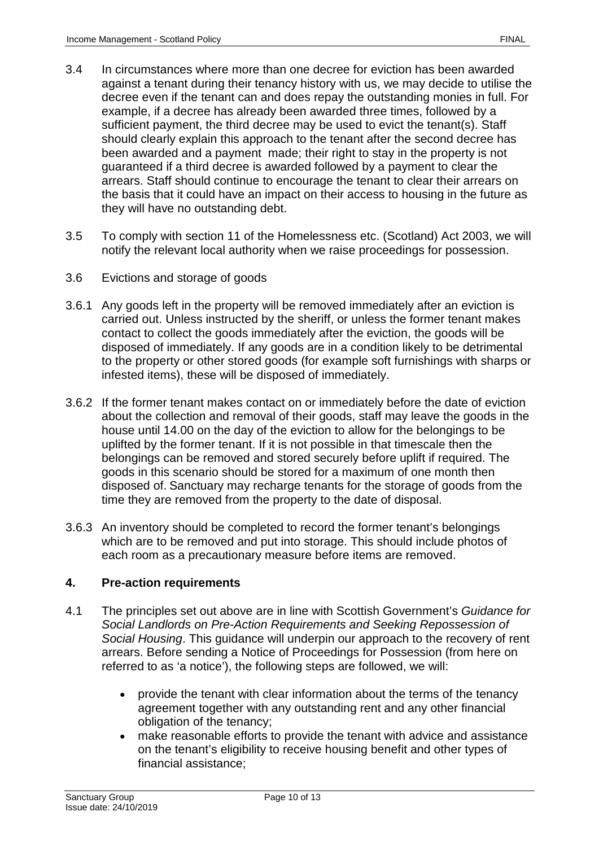- 3.4 In circumstances where more than one decree for eviction has been awarded against a tenant during their tenancy history with us, we may decide to utilise the decree even if the tenant can and does repay the outstanding monies in full. For example, if a decree has already been awarded three times, followed by a sufficient payment, the third decree may be used to evict the tenant(s). Staff should clearly explain this approach to the tenant after the second decree has been awarded and a payment made; their right to stay in the property is not guaranteed if a third decree is awarded followed by a payment to clear the arrears. Staff should continue to encourage the tenant to clear their arrears on the basis that it could have an impact on their access to housing in the future as they will have no outstanding debt.
- 3.5 To comply with section 11 of the Homelessness etc. (Scotland) Act 2003, we will notify the relevant local authority when we raise proceedings for possession.
- 3.6 Evictions and storage of goods
- 3.6.1 Any goods left in the property will be removed immediately after an eviction is carried out. Unless instructed by the sheriff, or unless the former tenant makes contact to collect the goods immediately after the eviction, the goods will be disposed of immediately. If any goods are in a condition likely to be detrimental to the property or other stored goods (for example soft furnishings with sharps or infested items), these will be disposed of immediately.
- 3.6.2 If the former tenant makes contact on or immediately before the date of eviction about the collection and removal of their goods, staff may leave the goods in the house until 14.00 on the day of the eviction to allow for the belongings to be uplifted by the former tenant. If it is not possible in that timescale then the belongings can be removed and stored securely before uplift if required. The goods in this scenario should be stored for a maximum of one month then disposed of. Sanctuary may recharge tenants for the storage of goods from the time they are removed from the property to the date of disposal.
- 3.6.3 An inventory should be completed to record the former tenant's belongings which are to be removed and put into storage. This should include photos of each room as a precautionary measure before items are removed.

### **4. Pre-action requirements**

- 4.1 The principles set out above are in line with Scottish Government's *Guidance for Social Landlords on Pre-Action Requirements and Seeking Repossession of Social Housing*. This guidance will underpin our approach to the recovery of rent arrears. Before sending a Notice of Proceedings for Possession (from here on referred to as 'a notice'), the following steps are followed, we will:
	- provide the tenant with clear information about the terms of the tenancy agreement together with any outstanding rent and any other financial obligation of the tenancy;
	- make reasonable efforts to provide the tenant with advice and assistance on the tenant's eligibility to receive housing benefit and other types of financial assistance;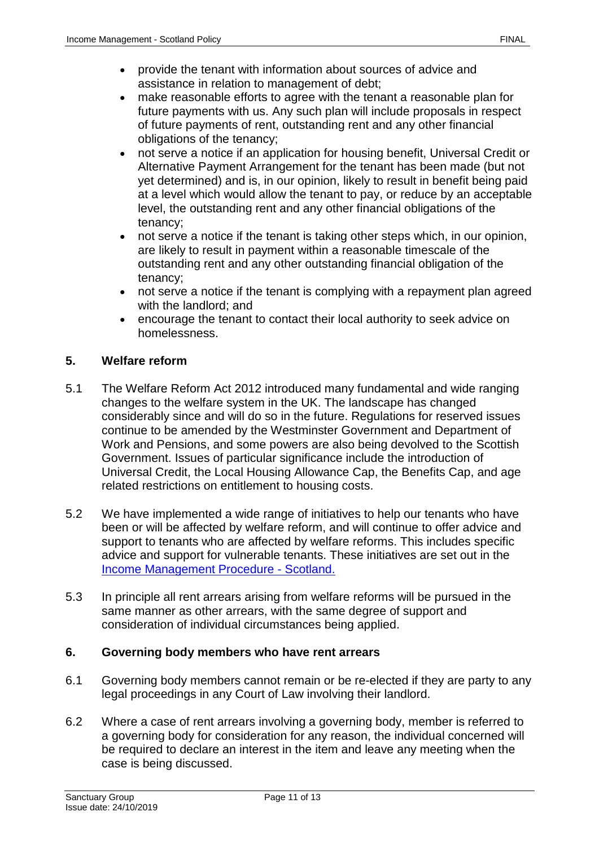- provide the tenant with information about sources of advice and assistance in relation to management of debt;
- make reasonable efforts to agree with the tenant a reasonable plan for future payments with us. Any such plan will include proposals in respect of future payments of rent, outstanding rent and any other financial obligations of the tenancy;
- not serve a notice if an application for housing benefit, Universal Credit or Alternative Payment Arrangement for the tenant has been made (but not yet determined) and is, in our opinion, likely to result in benefit being paid at a level which would allow the tenant to pay, or reduce by an acceptable level, the outstanding rent and any other financial obligations of the tenancy;
- not serve a notice if the tenant is taking other steps which, in our opinion, are likely to result in payment within a reasonable timescale of the outstanding rent and any other outstanding financial obligation of the tenancy;
- not serve a notice if the tenant is complying with a repayment plan agreed with the landlord; and
- encourage the tenant to contact their local authority to seek advice on homelessness.

# **5. Welfare reform**

- 5.1 The Welfare Reform Act 2012 introduced many fundamental and wide ranging changes to the welfare system in the UK. The landscape has changed considerably since and will do so in the future. Regulations for reserved issues continue to be amended by the Westminster Government and Department of Work and Pensions, and some powers are also being devolved to the Scottish Government. Issues of particular significance include the introduction of Universal Credit, the Local Housing Allowance Cap, the Benefits Cap, and age related restrictions on entitlement to housing costs.
- 5.2 We have implemented a wide range of initiatives to help our tenants who have been or will be affected by welfare reform, and will continue to offer advice and support to tenants who are affected by welfare reforms. This includes specific advice and support for vulnerable tenants. These initiatives are set out in the [Income Management Procedure -](https://solis/PolicyManagement/policy/Policies/Forms/Policy%20Document%20Set/docsethomepage.aspx?ID=7095&FolderCTID=0x0120D52000DE99EA054D4DF944BE591D81E49729D0008C670BDB86BED740B0B89E295CD8357C&List=a03723e1-d48b-4958-9669-9b86a90ef8b0&RootFolder=%2FPolicyManagement%2Fpolicy%2FPolicies%2FIncome%20Management%20%2D%20Scotland&RecSrc=%2FPolicyManagement%2Fpolicy%2FPolicies%2FIncome%20Management%20%2D%20Scotland) Scotland.
- 5.3 In principle all rent arrears arising from welfare reforms will be pursued in the same manner as other arrears, with the same degree of support and consideration of individual circumstances being applied.

### **6. Governing body members who have rent arrears**

- 6.1 Governing body members cannot remain or be re-elected if they are party to any legal proceedings in any Court of Law involving their landlord.
- 6.2 Where a case of rent arrears involving a governing body, member is referred to a governing body for consideration for any reason, the individual concerned will be required to declare an interest in the item and leave any meeting when the case is being discussed.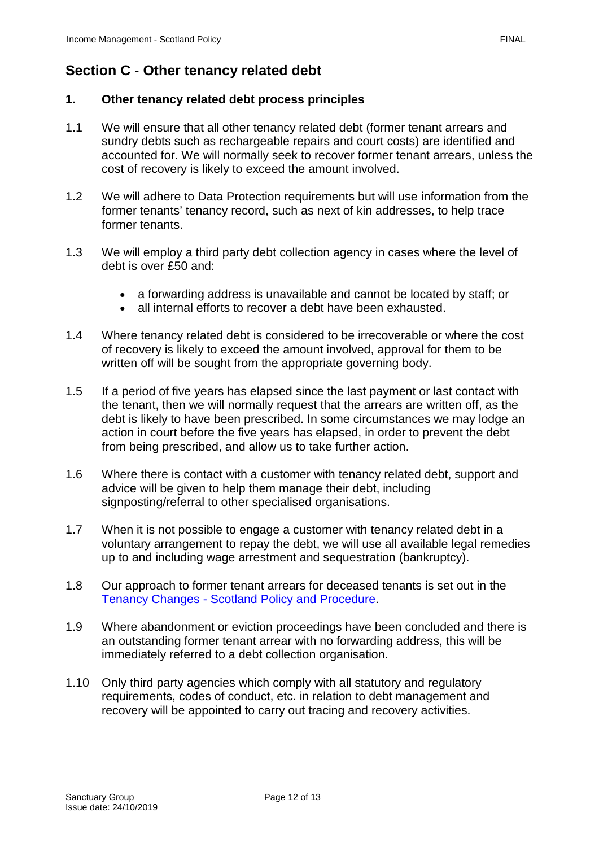# **Section C - Other tenancy related debt**

## **1. Other tenancy related debt process principles**

- 1.1 We will ensure that all other tenancy related debt (former tenant arrears and sundry debts such as rechargeable repairs and court costs) are identified and accounted for. We will normally seek to recover former tenant arrears, unless the cost of recovery is likely to exceed the amount involved.
- 1.2 We will adhere to Data Protection requirements but will use information from the former tenants' tenancy record, such as next of kin addresses, to help trace former tenants.
- 1.3 We will employ a third party debt collection agency in cases where the level of debt is over £50 and:
	- a forwarding address is unavailable and cannot be located by staff; or
	- all internal efforts to recover a debt have been exhausted.
- 1.4 Where tenancy related debt is considered to be irrecoverable or where the cost of recovery is likely to exceed the amount involved, approval for them to be written off will be sought from the appropriate governing body.
- 1.5 If a period of five years has elapsed since the last payment or last contact with the tenant, then we will normally request that the arrears are written off, as the debt is likely to have been prescribed. In some circumstances we may lodge an action in court before the five years has elapsed, in order to prevent the debt from being prescribed, and allow us to take further action.
- 1.6 Where there is contact with a customer with tenancy related debt, support and advice will be given to help them manage their debt, including signposting/referral to other specialised organisations.
- 1.7 When it is not possible to engage a customer with tenancy related debt in a voluntary arrangement to repay the debt, we will use all available legal remedies up to and including wage arrestment and sequestration (bankruptcy).
- 1.8 Our approach to former tenant arrears for deceased tenants is set out in the Tenancy Changes - [Scotland Policy and Procedure.](https://solis/PolicyManagement/policy/Policies/Forms/Policy%20Document%20Set/docsethomepage.aspx?ID=5026&FolderCTID=0x0120D52000DE99EA054D4DF944BE591D81E49729D0008C670BDB86BED740B0B89E295CD8357C&List=a03723e1-d48b-4958-9669-9b86a90ef8b0&RootFolder=%2FPolicyManagement%2Fpolicy%2FPolicies%2FTenancy%20Changes%20%2D%20Scotland&RecSrc=%2FPolicyManagement%2Fpolicy%2FPolicies%2FTenancy%20Changes%20%2D%20Scotland)
- 1.9 Where abandonment or eviction proceedings have been concluded and there is an outstanding former tenant arrear with no forwarding address, this will be immediately referred to a debt collection organisation.
- 1.10 Only third party agencies which comply with all statutory and regulatory requirements, codes of conduct, etc. in relation to debt management and recovery will be appointed to carry out tracing and recovery activities.